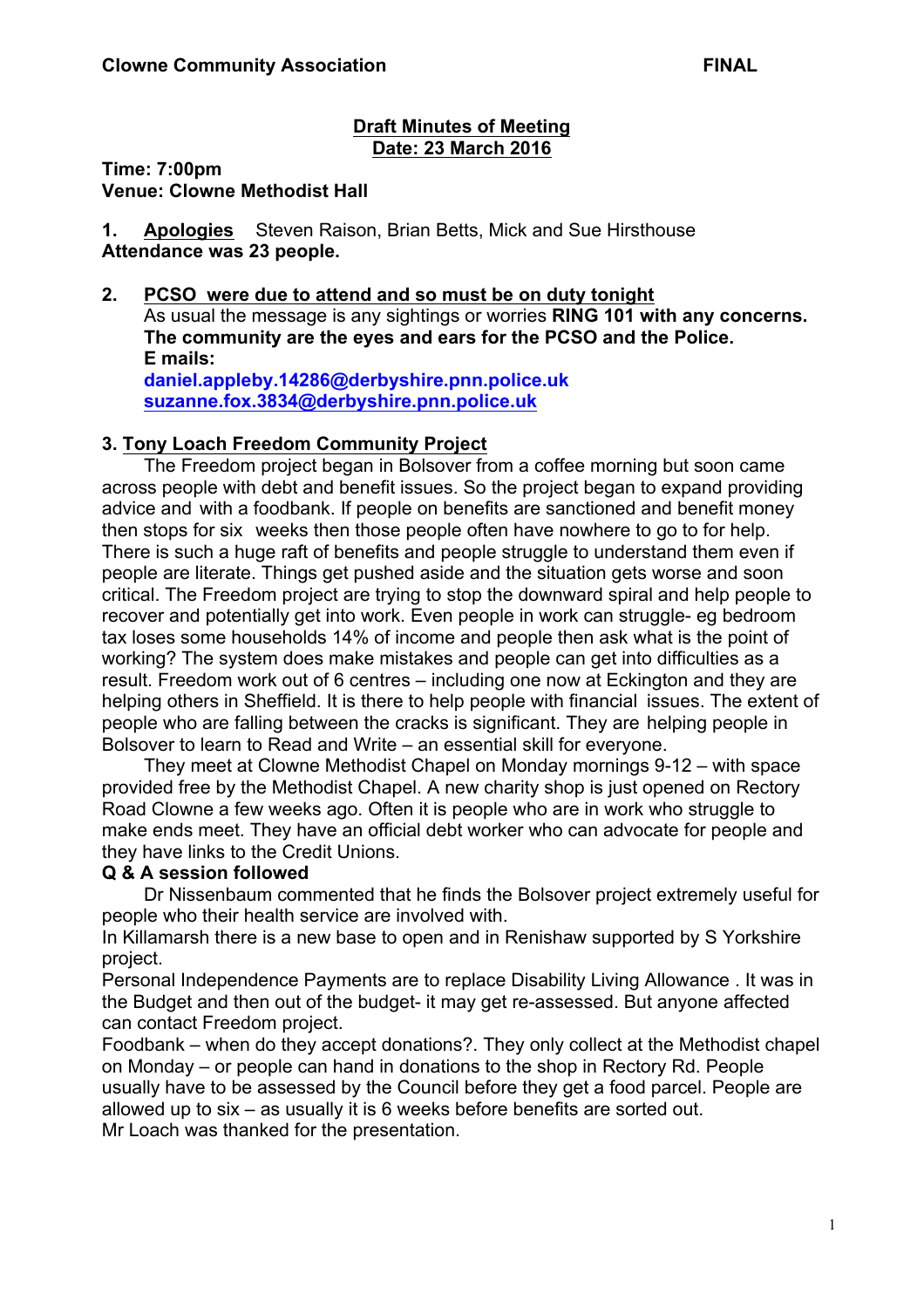### **Draft Minutes of Meeting Date: 23 March 2016**

**Time: 7:00pm Venue: Clowne Methodist Hall**

**1. Apologies** Steven Raison, Brian Betts, Mick and Sue Hirsthouse **Attendance was 23 people.**

**2. PCSO were due to attend and so must be on duty tonight** As usual the message is any sightings or worries **RING 101 with any concerns. The community are the eyes and ears for the PCSO and the Police. E mails: daniel.appleby.14286@derbyshire.pnn.police.uk suzanne.fox.3834@derbyshire.pnn.police.uk**

### **3. Tony Loach Freedom Community Project**

The Freedom project began in Bolsover from a coffee morning but soon came across people with debt and benefit issues. So the project began to expand providing advice and with a foodbank. If people on benefits are sanctioned and benefit money then stops for six weeks then those people often have nowhere to go to for help. There is such a huge raft of benefits and people struggle to understand them even if people are literate. Things get pushed aside and the situation gets worse and soon critical. The Freedom project are trying to stop the downward spiral and help people to recover and potentially get into work. Even people in work can struggle- eg bedroom tax loses some households 14% of income and people then ask what is the point of working? The system does make mistakes and people can get into difficulties as a result. Freedom work out of 6 centres – including one now at Eckington and they are helping others in Sheffield. It is there to help people with financial issues. The extent of people who are falling between the cracks is significant. They are helping people in Bolsover to learn to Read and Write – an essential skill for everyone.

They meet at Clowne Methodist Chapel on Monday mornings 9-12 – with space provided free by the Methodist Chapel. A new charity shop is just opened on Rectory Road Clowne a few weeks ago. Often it is people who are in work who struggle to make ends meet. They have an official debt worker who can advocate for people and they have links to the Credit Unions.

### **Q & A session followed**

Dr Nissenbaum commented that he finds the Bolsover project extremely useful for people who their health service are involved with.

In Killamarsh there is a new base to open and in Renishaw supported by S Yorkshire project.

Personal Independence Payments are to replace Disability Living Allowance . It was in the Budget and then out of the budget- it may get re-assessed. But anyone affected can contact Freedom project.

Foodbank – when do they accept donations?. They only collect at the Methodist chapel on Monday – or people can hand in donations to the shop in Rectory Rd. People usually have to be assessed by the Council before they get a food parcel. People are allowed up to six – as usually it is 6 weeks before benefits are sorted out. Mr Loach was thanked for the presentation.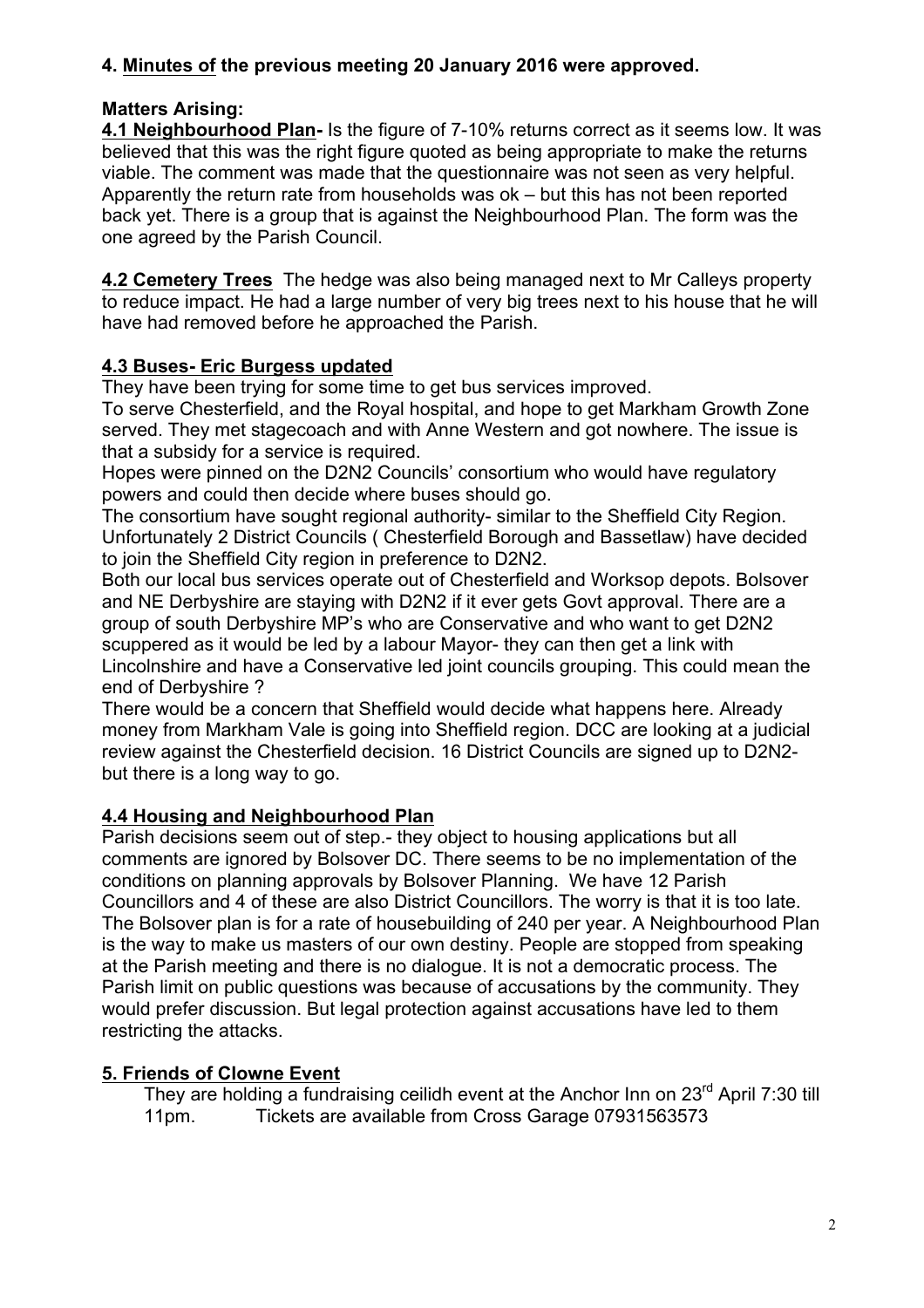# **4. Minutes of the previous meeting 20 January 2016 were approved.**

# **Matters Arising:**

**4.1 Neighbourhood Plan-** Is the figure of 7-10% returns correct as it seems low. It was believed that this was the right figure quoted as being appropriate to make the returns viable. The comment was made that the questionnaire was not seen as very helpful. Apparently the return rate from households was ok – but this has not been reported back yet. There is a group that is against the Neighbourhood Plan. The form was the one agreed by the Parish Council.

**4.2 Cemetery Trees** The hedge was also being managed next to Mr Calleys property to reduce impact. He had a large number of very big trees next to his house that he will have had removed before he approached the Parish.

# **4.3 Buses- Eric Burgess updated**

They have been trying for some time to get bus services improved.

To serve Chesterfield, and the Royal hospital, and hope to get Markham Growth Zone served. They met stagecoach and with Anne Western and got nowhere. The issue is that a subsidy for a service is required.

Hopes were pinned on the D2N2 Councils' consortium who would have regulatory powers and could then decide where buses should go.

The consortium have sought regional authority- similar to the Sheffield City Region. Unfortunately 2 District Councils ( Chesterfield Borough and Bassetlaw) have decided to join the Sheffield City region in preference to D2N2.

Both our local bus services operate out of Chesterfield and Worksop depots. Bolsover and NE Derbyshire are staying with D2N2 if it ever gets Govt approval. There are a group of south Derbyshire MP's who are Conservative and who want to get D2N2 scuppered as it would be led by a labour Mayor- they can then get a link with Lincolnshire and have a Conservative led joint councils grouping. This could mean the end of Derbyshire ?

There would be a concern that Sheffield would decide what happens here. Already money from Markham Vale is going into Sheffield region. DCC are looking at a judicial review against the Chesterfield decision. 16 District Councils are signed up to D2N2 but there is a long way to go.

# **4.4 Housing and Neighbourhood Plan**

Parish decisions seem out of step.- they object to housing applications but all comments are ignored by Bolsover DC. There seems to be no implementation of the conditions on planning approvals by Bolsover Planning. We have 12 Parish Councillors and 4 of these are also District Councillors. The worry is that it is too late. The Bolsover plan is for a rate of housebuilding of 240 per year. A Neighbourhood Plan is the way to make us masters of our own destiny. People are stopped from speaking at the Parish meeting and there is no dialogue. It is not a democratic process. The Parish limit on public questions was because of accusations by the community. They would prefer discussion. But legal protection against accusations have led to them restricting the attacks.

# **5. Friends of Clowne Event**

They are holding a fundraising ceilidh event at the Anchor Inn on 23<sup>rd</sup> April 7:30 till 11pm. Tickets are available from Cross Garage 07931563573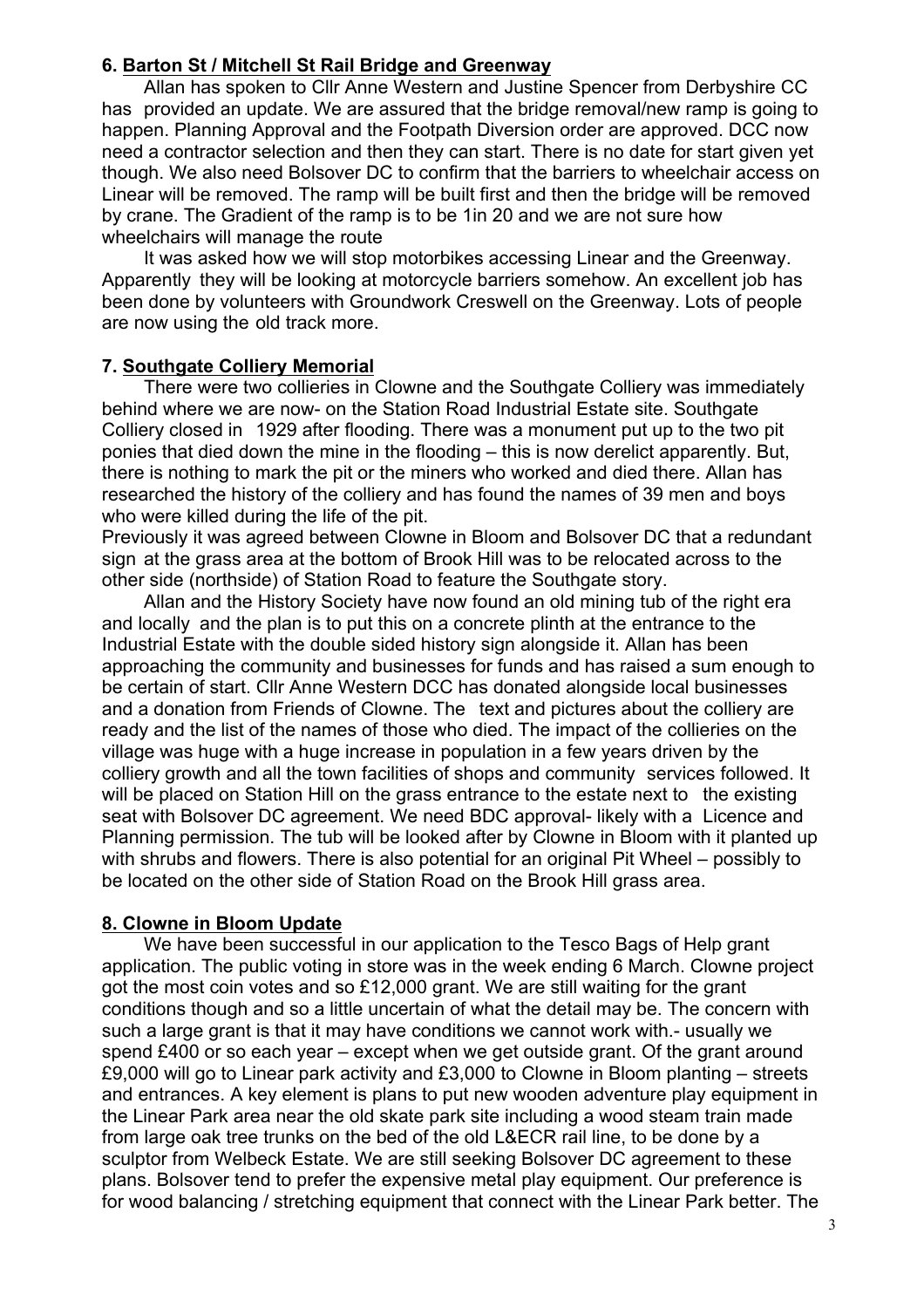### **6. Barton St / Mitchell St Rail Bridge and Greenway**

Allan has spoken to Cllr Anne Western and Justine Spencer from Derbyshire CC has provided an update. We are assured that the bridge removal/new ramp is going to happen. Planning Approval and the Footpath Diversion order are approved. DCC now need a contractor selection and then they can start. There is no date for start given yet though. We also need Bolsover DC to confirm that the barriers to wheelchair access on Linear will be removed. The ramp will be built first and then the bridge will be removed by crane. The Gradient of the ramp is to be 1in 20 and we are not sure how wheelchairs will manage the route

It was asked how we will stop motorbikes accessing Linear and the Greenway. Apparently they will be looking at motorcycle barriers somehow. An excellent job has been done by volunteers with Groundwork Creswell on the Greenway. Lots of people are now using the old track more.

#### **7. Southgate Colliery Memorial**

There were two collieries in Clowne and the Southgate Colliery was immediately behind where we are now- on the Station Road Industrial Estate site. Southgate Colliery closed in 1929 after flooding. There was a monument put up to the two pit ponies that died down the mine in the flooding – this is now derelict apparently. But, there is nothing to mark the pit or the miners who worked and died there. Allan has researched the history of the colliery and has found the names of 39 men and boys who were killed during the life of the pit.

Previously it was agreed between Clowne in Bloom and Bolsover DC that a redundant sign at the grass area at the bottom of Brook Hill was to be relocated across to the other side (northside) of Station Road to feature the Southgate story.

Allan and the History Society have now found an old mining tub of the right era and locally and the plan is to put this on a concrete plinth at the entrance to the Industrial Estate with the double sided history sign alongside it. Allan has been approaching the community and businesses for funds and has raised a sum enough to be certain of start. Cllr Anne Western DCC has donated alongside local businesses and a donation from Friends of Clowne. The text and pictures about the colliery are ready and the list of the names of those who died. The impact of the collieries on the village was huge with a huge increase in population in a few years driven by the colliery growth and all the town facilities of shops and community services followed. It will be placed on Station Hill on the grass entrance to the estate next to the existing seat with Bolsover DC agreement. We need BDC approval- likely with a Licence and Planning permission. The tub will be looked after by Clowne in Bloom with it planted up with shrubs and flowers. There is also potential for an original Pit Wheel – possibly to be located on the other side of Station Road on the Brook Hill grass area.

### **8. Clowne in Bloom Update**

We have been successful in our application to the Tesco Bags of Help grant application. The public voting in store was in the week ending 6 March. Clowne project got the most coin votes and so £12,000 grant. We are still waiting for the grant conditions though and so a little uncertain of what the detail may be. The concern with such a large grant is that it may have conditions we cannot work with.- usually we spend £400 or so each year – except when we get outside grant. Of the grant around £9,000 will go to Linear park activity and £3,000 to Clowne in Bloom planting – streets and entrances. A key element is plans to put new wooden adventure play equipment in the Linear Park area near the old skate park site including a wood steam train made from large oak tree trunks on the bed of the old L&ECR rail line, to be done by a sculptor from Welbeck Estate. We are still seeking Bolsover DC agreement to these plans. Bolsover tend to prefer the expensive metal play equipment. Our preference is for wood balancing / stretching equipment that connect with the Linear Park better. The